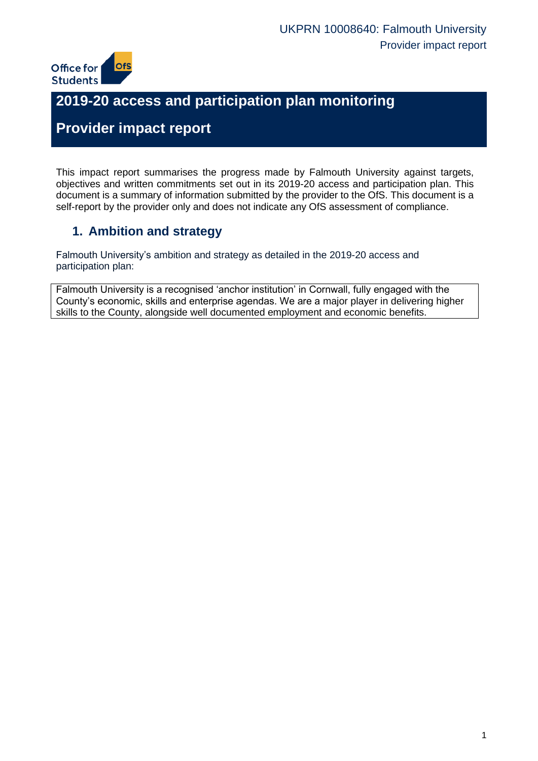

# **2019-20 access and participation plan monitoring**

# **Provider impact report**

This impact report summarises the progress made by Falmouth University against targets, objectives and written commitments set out in its 2019-20 access and participation plan. This document is a summary of information submitted by the provider to the OfS. This document is a self-report by the provider only and does not indicate any OfS assessment of compliance.

### **1. Ambition and strategy**

Falmouth University's ambition and strategy as detailed in the 2019-20 access and participation plan:

Falmouth University is a recognised 'anchor institution' in Cornwall, fully engaged with the County's economic, skills and enterprise agendas. We are a major player in delivering higher skills to the County, alongside well documented employment and economic benefits.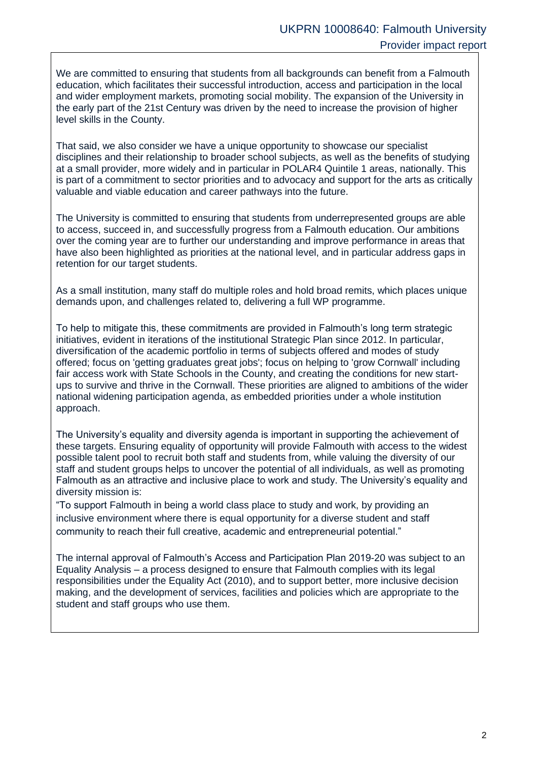We are committed to ensuring that students from all backgrounds can benefit from a Falmouth education, which facilitates their successful introduction, access and participation in the local and wider employment markets, promoting social mobility. The expansion of the University in the early part of the 21st Century was driven by the need to increase the provision of higher level skills in the County.

That said, we also consider we have a unique opportunity to showcase our specialist disciplines and their relationship to broader school subjects, as well as the benefits of studying at a small provider, more widely and in particular in POLAR4 Quintile 1 areas, nationally. This is part of a commitment to sector priorities and to advocacy and support for the arts as critically valuable and viable education and career pathways into the future.

The University is committed to ensuring that students from underrepresented groups are able to access, succeed in, and successfully progress from a Falmouth education. Our ambitions over the coming year are to further our understanding and improve performance in areas that have also been highlighted as priorities at the national level, and in particular address gaps in retention for our target students.

As a small institution, many staff do multiple roles and hold broad remits, which places unique demands upon, and challenges related to, delivering a full WP programme.

To help to mitigate this, these commitments are provided in Falmouth's long term strategic initiatives, evident in iterations of the institutional Strategic Plan since 2012. In particular, diversification of the academic portfolio in terms of subjects offered and modes of study offered; focus on 'getting graduates great jobs'; focus on helping to 'grow Cornwall' including fair access work with State Schools in the County, and creating the conditions for new startups to survive and thrive in the Cornwall. These priorities are aligned to ambitions of the wider national widening participation agenda, as embedded priorities under a whole institution approach.

The University's equality and diversity agenda is important in supporting the achievement of these targets. Ensuring equality of opportunity will provide Falmouth with access to the widest possible talent pool to recruit both staff and students from, while valuing the diversity of our staff and student groups helps to uncover the potential of all individuals, as well as promoting Falmouth as an attractive and inclusive place to work and study. The University's equality and diversity mission is:

"To support Falmouth in being a world class place to study and work, by providing an inclusive environment where there is equal opportunity for a diverse student and staff community to reach their full creative, academic and entrepreneurial potential."

The internal approval of Falmouth's Access and Participation Plan 2019-20 was subject to an Equality Analysis – a process designed to ensure that Falmouth complies with its legal responsibilities under the Equality Act (2010), and to support better, more inclusive decision making, and the development of services, facilities and policies which are appropriate to the student and staff groups who use them.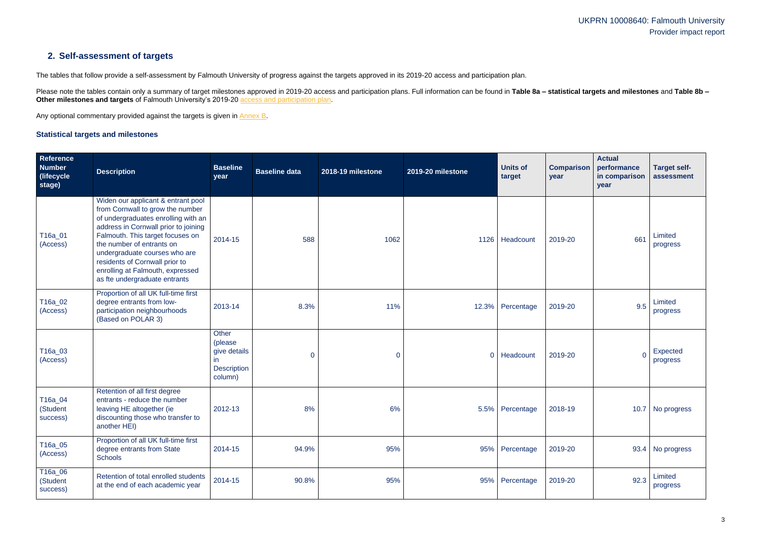### **2. Self-assessment of targets**

The tables that follow provide a self-assessment by Falmouth University of progress against the targets approved in its 2019-20 access and participation plan.

Please note the tables contain only a summary of target milestones approved in 2019-20 access and participation plans. Full information can be found in Table 8a – statistical targets and milestones and Table 8b – **Other milestones and targets** of Falmouth University's 2019-20 [access and participation plan.](https://www.officeforstudents.org.uk/advice-and-guidance/the-register/search-for-access-and-participation-plans/#/AccessPlans/)

Any optional commentary provided against the targets is given in [Annex B.](#page-21-0)

### <span id="page-2-0"></span>**Statistical targets and milestones**

| Reference<br><b>Number</b><br>(lifecycle<br>stage) | <b>Description</b>                                                                                                                                                                                                                                                                                                                                             | <b>Baseline</b><br>year                                                         | <b>Baseline data</b> | 2018-19 milestone | 2019-20 milestone | <b>Units of</b><br>target | <b>Comparison</b><br>year | <b>Actual</b><br>performance<br>in comparison<br>year | <b>Target self-</b><br>assessment |
|----------------------------------------------------|----------------------------------------------------------------------------------------------------------------------------------------------------------------------------------------------------------------------------------------------------------------------------------------------------------------------------------------------------------------|---------------------------------------------------------------------------------|----------------------|-------------------|-------------------|---------------------------|---------------------------|-------------------------------------------------------|-----------------------------------|
| T16a_01<br>(Access)                                | Widen our applicant & entrant pool<br>from Cornwall to grow the number<br>of undergraduates enrolling with an<br>address in Cornwall prior to joining<br>Falmouth. This target focuses on<br>the number of entrants on<br>undergraduate courses who are<br>residents of Cornwall prior to<br>enrolling at Falmouth, expressed<br>as fte undergraduate entrants | 2014-15                                                                         | 588                  | 1062              |                   | 1126   Headcount          | 2019-20                   | 661                                                   | Limited<br>progress               |
| T16a_02<br>(Access)                                | Proportion of all UK full-time first<br>degree entrants from low-<br>participation neighbourhoods<br>(Based on POLAR 3)                                                                                                                                                                                                                                        | 2013-14                                                                         | 8.3%                 | 11%               |                   | 12.3% Percentage          | 2019-20                   | 9.5                                                   | Limited<br>progress               |
| T16a_03<br>(Access)                                |                                                                                                                                                                                                                                                                                                                                                                | <b>Other</b><br>(please<br>give details<br>in.<br><b>Description</b><br>column) | 0                    | 0                 | $\overline{0}$    | Headcount                 | 2019-20                   |                                                       | Expected<br>progress              |
| T16a_04<br>(Student<br>success)                    | Retention of all first degree<br>entrants - reduce the number<br>leaving HE altogether (ie<br>discounting those who transfer to<br>another HEI)                                                                                                                                                                                                                | 2012-13                                                                         | 8%                   | 6%                |                   | 5.5% Percentage           | 2018-19                   |                                                       | 10.7 No progress                  |
| T16a_05<br>(Access)                                | Proportion of all UK full-time first<br>degree entrants from State<br><b>Schools</b>                                                                                                                                                                                                                                                                           | 2014-15                                                                         | 94.9%                | 95%               |                   | 95% Percentage            | 2019-20                   |                                                       | 93.4 No progress                  |
| T16a_06<br>(Student<br>success)                    | Retention of total enrolled students<br>at the end of each academic year                                                                                                                                                                                                                                                                                       | 2014-15                                                                         | 90.8%                | 95%               |                   | 95% Percentage            | 2019-20                   | 92.3                                                  | Limited<br>progress               |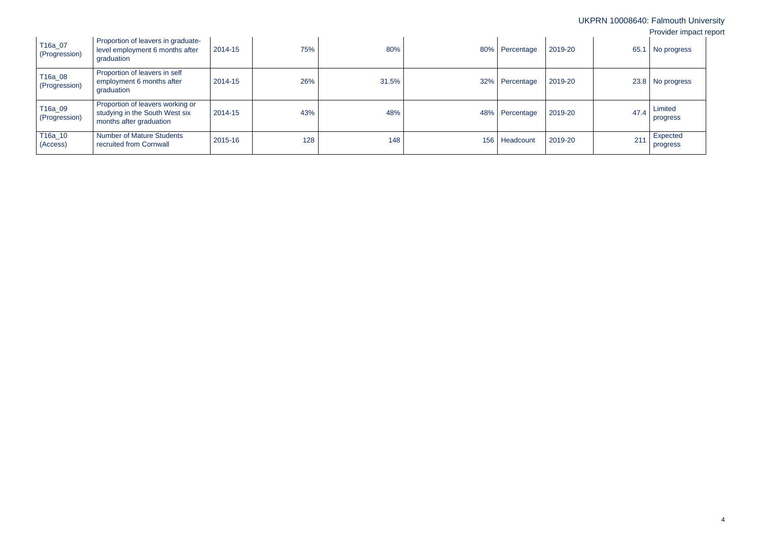| T16a_07<br>(Progression) | Proportion of leavers in graduate-<br>level employment 6 months after<br>graduation           | 2014-15 | 75% | 80%   |     | 80% Percentage | 2019-20 | 65.1 | No progress          |
|--------------------------|-----------------------------------------------------------------------------------------------|---------|-----|-------|-----|----------------|---------|------|----------------------|
| T16a_08<br>(Progression) | Proportion of leavers in self<br>employment 6 months after<br>graduation                      | 2014-15 | 26% | 31.5% |     | 32% Percentage | 2019-20 |      | 23.8   No progress   |
| T16a_09<br>(Progression) | Proportion of leavers working or<br>studying in the South West six<br>months after graduation | 2014-15 | 43% | 48%   |     | 48% Percentage | 2019-20 | 47.4 | Limited<br>progress  |
| T16a_10<br>(Access)      | <b>Number of Mature Students</b><br>recruited from Cornwall                                   | 2015-16 | 128 | 148   | 156 | Headcount      | 2019-20 | 211  | Expected<br>progress |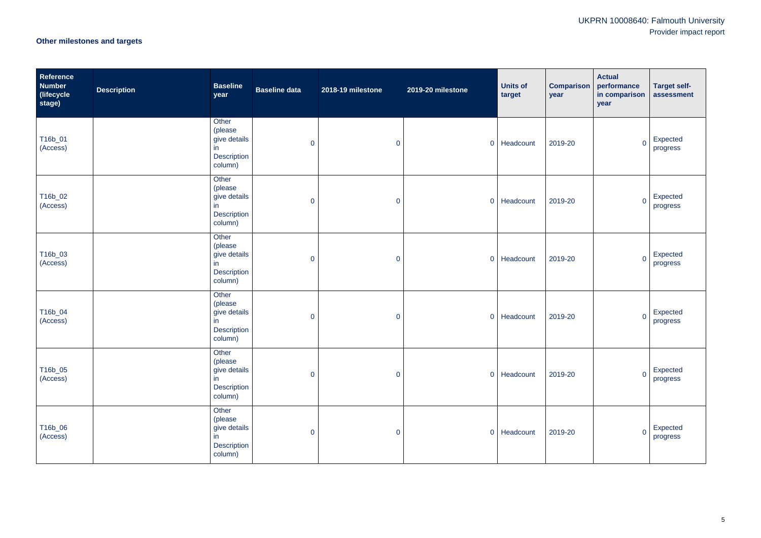# **Other milestones and targets**

| Reference<br><b>Number</b><br>(lifecycle<br>stage) | <b>Description</b> | <b>Baseline</b><br>year                                           | <b>Baseline data</b> | 2018-19 milestone | 2019-20 milestone | <b>Units of</b><br>target | <b>Comparison</b><br>year | <b>Actual</b><br>performance<br>in comparison<br>year | <b>Target self-</b><br>assessment |
|----------------------------------------------------|--------------------|-------------------------------------------------------------------|----------------------|-------------------|-------------------|---------------------------|---------------------------|-------------------------------------------------------|-----------------------------------|
| T16b_01<br>(Access)                                |                    | Other<br>(please<br>give details<br>in<br>Description<br>column)  | $\overline{0}$       | $\mathbf 0$       |                   | 0 Headcount               | 2019-20                   | $\overline{0}$                                        | Expected<br>progress              |
| T16b_02<br>(Access)                                |                    | Other<br>(please<br>give details<br>in<br>Description<br>column)  | $\overline{0}$       | $\pmb{0}$         |                   | 0 Headcount               | 2019-20                   | $\overline{0}$                                        | Expected<br>progress              |
| T16b_03<br>(Access)                                |                    | Other<br>(please<br>give details<br>in<br>Description<br>column)  | $\overline{0}$       | $\pmb{0}$         |                   | 0 Headcount               | 2019-20                   | $\overline{0}$                                        | Expected<br>progress              |
| T16b_04<br>(Access)                                |                    | Other<br>(please<br>give details<br>in<br>Description<br>column)  | $\overline{0}$       | $\pmb{0}$         |                   | 0 Headcount               | 2019-20                   | $\overline{0}$                                        | Expected<br>progress              |
| T16b_05<br>(Access)                                |                    | Other<br>(please<br>give details<br>in<br>Description<br>column)  | $\overline{0}$       | $\mathbf 0$       |                   | 0 Headcount               | 2019-20                   | $\overline{0}$                                        | Expected<br>progress              |
| T16b_06<br>(Access)                                |                    | Other<br>(please<br>give details<br>in.<br>Description<br>column) | $\overline{0}$       | $\mathbf 0$       |                   | 0 Headcount               | 2019-20                   | $\overline{0}$                                        | Expected<br>progress              |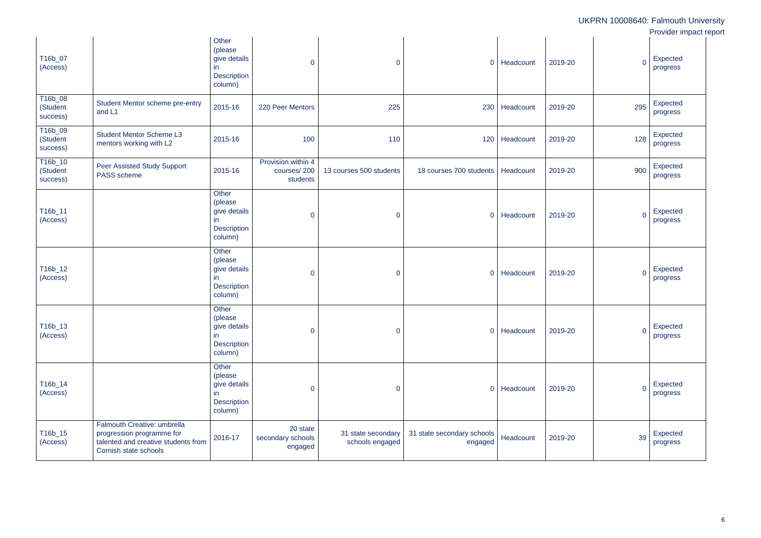|                                 |                                                                                                                          |                                                                          |                                               |                                       |                                       |           |                           | UKPRN 10008640: Falmouth University<br>Provider impact report |
|---------------------------------|--------------------------------------------------------------------------------------------------------------------------|--------------------------------------------------------------------------|-----------------------------------------------|---------------------------------------|---------------------------------------|-----------|---------------------------|---------------------------------------------------------------|
| T16b_07<br>(Access)             |                                                                                                                          | Other<br>(please<br>give details<br>in<br><b>Description</b><br>column)  | $\overline{0}$                                | $\overline{0}$                        | $\overline{0}$                        | Headcount | $\overline{0}$<br>2019-20 | Expected<br>progress                                          |
| T16b_08<br>(Student<br>success) | Student Mentor scheme pre-entry<br>and L1                                                                                | 2015-16                                                                  | 220 Peer Mentors                              | 225                                   | 230                                   | Headcount | 295<br>2019-20            | Expected<br>progress                                          |
| T16b_09<br>(Student<br>success) | <b>Student Mentor Scheme L3</b><br>mentors working with L2                                                               | 2015-16                                                                  | 100                                           | 110                                   | 120                                   | Headcount | 128<br>2019-20            | Expected<br>progress                                          |
| T16b_10<br>(Student<br>success) | <b>Peer Assisted Study Support</b><br>PASS scheme                                                                        | 2015-16                                                                  | Provision within 4<br>courses/200<br>students | 13 courses 500 students               | 18 courses 700 students               | Headcount | 900<br>2019-20            | Expected<br>progress                                          |
| T16b_11<br>(Access)             |                                                                                                                          | Other<br>(please<br>give details<br>in<br><b>Description</b><br>column)  | $\overline{0}$                                | $\mathbf 0$                           | $\overline{0}$                        | Headcount | $\overline{0}$<br>2019-20 | Expected<br>progress                                          |
| T16b_12<br>(Access)             |                                                                                                                          | Other<br>(please)<br>give details<br>in<br><b>Description</b><br>column) | $\overline{0}$                                | $\mathbf 0$                           | $\overline{0}$                        | Headcount | $\overline{0}$<br>2019-20 | Expected<br>progress                                          |
| T16b_13<br>(Access)             |                                                                                                                          | Other<br>(please<br>give details<br>in<br>Description<br>column)         | $\overline{0}$                                | $\overline{0}$                        | $\overline{0}$                        | Headcount | $\overline{0}$<br>2019-20 | Expected<br>progress                                          |
| T16b_14<br>(Access)             |                                                                                                                          | Other<br>(please<br>give details<br>in<br><b>Description</b><br>column)  | $\overline{0}$                                | $\overline{0}$                        | $\overline{0}$                        | Headcount | $\overline{0}$<br>2019-20 | Expected<br>progress                                          |
| T16b_15<br>(Access)             | Falmouth Creative: umbrella<br>progression programme for<br>talented and creative students from<br>Cornish state schools | 2016-17                                                                  | 20 state<br>secondary schools<br>engaged      | 31 state secondary<br>schools engaged | 31 state secondary schools<br>engaged | Headcount | 39<br>2019-20             | Expected<br>progress                                          |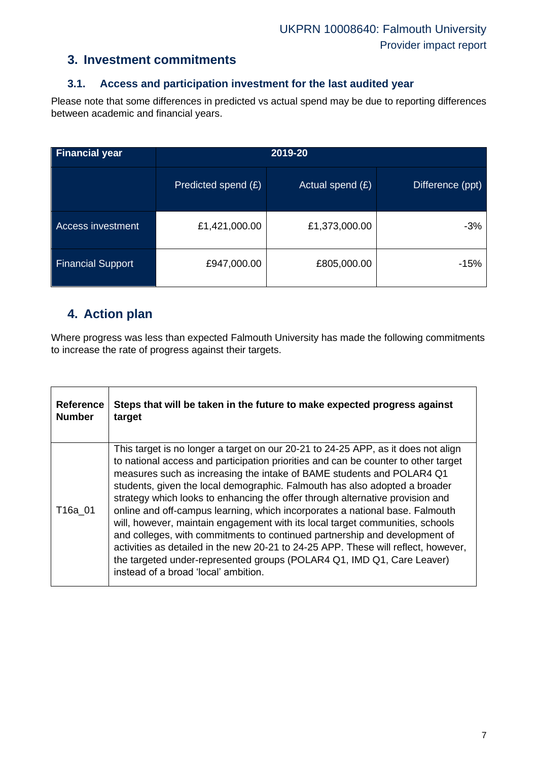### **3. Investment commitments**

### **3.1. Access and participation investment for the last audited year**

Please note that some differences in predicted vs actual spend may be due to reporting differences between academic and financial years.

| <b>Financial year</b>    |                     | 2019-20            |                  |
|--------------------------|---------------------|--------------------|------------------|
|                          | Predicted spend (£) | Actual spend $(E)$ | Difference (ppt) |
| Access investment        | £1,421,000.00       | £1,373,000.00      | $-3%$            |
| <b>Financial Support</b> | £947,000.00         | £805,000.00        | -15%             |

### **4. Action plan**

Where progress was less than expected Falmouth University has made the following commitments to increase the rate of progress against their targets.

| <b>Reference</b> | Steps that will be taken in the future to make expected progress against                                                                                                                                                                                                                                                                                                                                                                                                                                                                                                                                                                                                                                                                                                                                                                                               |
|------------------|------------------------------------------------------------------------------------------------------------------------------------------------------------------------------------------------------------------------------------------------------------------------------------------------------------------------------------------------------------------------------------------------------------------------------------------------------------------------------------------------------------------------------------------------------------------------------------------------------------------------------------------------------------------------------------------------------------------------------------------------------------------------------------------------------------------------------------------------------------------------|
| <b>Number</b>    | target                                                                                                                                                                                                                                                                                                                                                                                                                                                                                                                                                                                                                                                                                                                                                                                                                                                                 |
| T16a 01          | This target is no longer a target on our 20-21 to 24-25 APP, as it does not align<br>to national access and participation priorities and can be counter to other target<br>measures such as increasing the intake of BAME students and POLAR4 Q1<br>students, given the local demographic. Falmouth has also adopted a broader<br>strategy which looks to enhancing the offer through alternative provision and<br>online and off-campus learning, which incorporates a national base. Falmouth<br>will, however, maintain engagement with its local target communities, schools<br>and colleges, with commitments to continued partnership and development of<br>activities as detailed in the new 20-21 to 24-25 APP. These will reflect, however,<br>the targeted under-represented groups (POLAR4 Q1, IMD Q1, Care Leaver)<br>instead of a broad 'local' ambition. |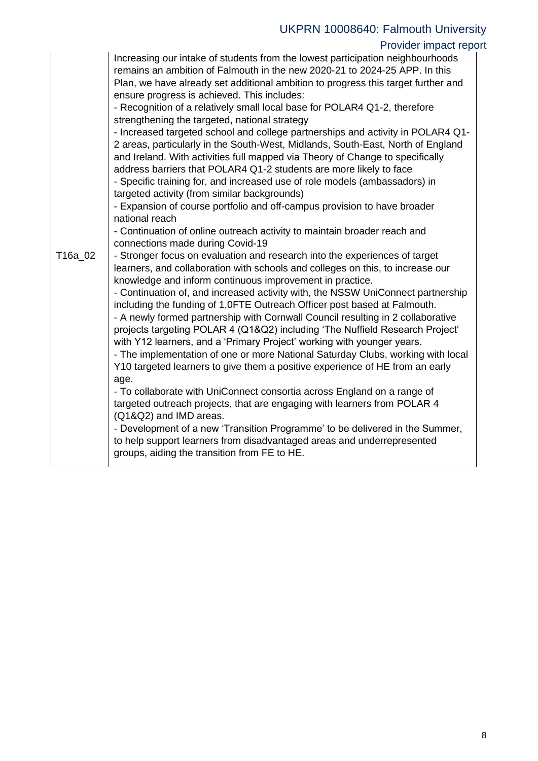### Provider impact report

|         | Increasing our intake of students from the lowest participation neighbourhoods<br>remains an ambition of Falmouth in the new 2020-21 to 2024-25 APP. In this<br>Plan, we have already set additional ambition to progress this target further and<br>ensure progress is achieved. This includes:<br>- Recognition of a relatively small local base for POLAR4 Q1-2, therefore<br>strengthening the targeted, national strategy<br>- Increased targeted school and college partnerships and activity in POLAR4 Q1-<br>2 areas, particularly in the South-West, Midlands, South-East, North of England<br>and Ireland. With activities full mapped via Theory of Change to specifically<br>address barriers that POLAR4 Q1-2 students are more likely to face<br>- Specific training for, and increased use of role models (ambassadors) in<br>targeted activity (from similar backgrounds)<br>- Expansion of course portfolio and off-campus provision to have broader  |
|---------|------------------------------------------------------------------------------------------------------------------------------------------------------------------------------------------------------------------------------------------------------------------------------------------------------------------------------------------------------------------------------------------------------------------------------------------------------------------------------------------------------------------------------------------------------------------------------------------------------------------------------------------------------------------------------------------------------------------------------------------------------------------------------------------------------------------------------------------------------------------------------------------------------------------------------------------------------------------------|
|         | national reach<br>- Continuation of online outreach activity to maintain broader reach and<br>connections made during Covid-19                                                                                                                                                                                                                                                                                                                                                                                                                                                                                                                                                                                                                                                                                                                                                                                                                                         |
| T16a_02 | - Stronger focus on evaluation and research into the experiences of target<br>learners, and collaboration with schools and colleges on this, to increase our<br>knowledge and inform continuous improvement in practice.<br>- Continuation of, and increased activity with, the NSSW UniConnect partnership<br>including the funding of 1.0FTE Outreach Officer post based at Falmouth.<br>- A newly formed partnership with Cornwall Council resulting in 2 collaborative<br>projects targeting POLAR 4 (Q1&Q2) including 'The Nuffield Research Project'<br>with Y12 learners, and a 'Primary Project' working with younger years.<br>- The implementation of one or more National Saturday Clubs, working with local<br>Y10 targeted learners to give them a positive experience of HE from an early<br>age.<br>- To collaborate with UniConnect consortia across England on a range of<br>targeted outreach projects, that are engaging with learners from POLAR 4 |
|         | (Q1&Q2) and IMD areas.<br>- Development of a new 'Transition Programme' to be delivered in the Summer,<br>to help support learners from disadvantaged areas and underrepresented<br>groups, aiding the transition from FE to HE.                                                                                                                                                                                                                                                                                                                                                                                                                                                                                                                                                                                                                                                                                                                                       |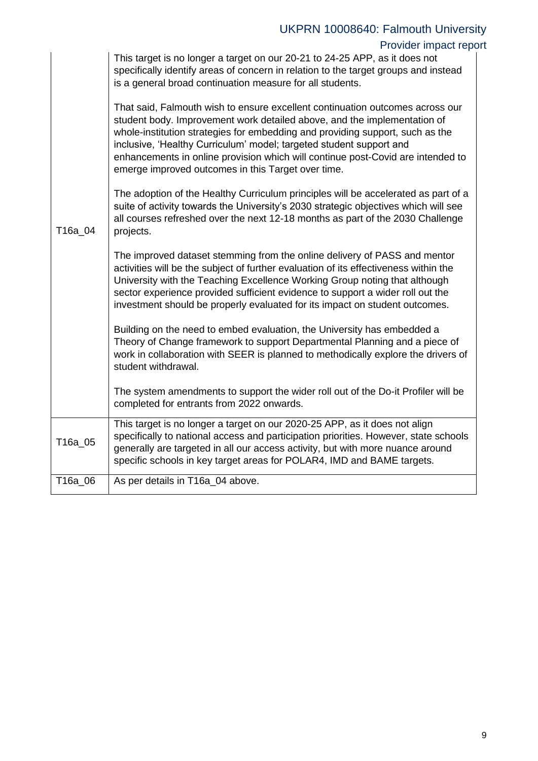|         | UKPRN 10008640: Falmouth University                                                                                                                                                                                                                                                                                                                                                                                                                        |  |
|---------|------------------------------------------------------------------------------------------------------------------------------------------------------------------------------------------------------------------------------------------------------------------------------------------------------------------------------------------------------------------------------------------------------------------------------------------------------------|--|
|         | Provider impact report                                                                                                                                                                                                                                                                                                                                                                                                                                     |  |
|         | This target is no longer a target on our 20-21 to 24-25 APP, as it does not<br>specifically identify areas of concern in relation to the target groups and instead<br>is a general broad continuation measure for all students.                                                                                                                                                                                                                            |  |
|         | That said, Falmouth wish to ensure excellent continuation outcomes across our<br>student body. Improvement work detailed above, and the implementation of<br>whole-institution strategies for embedding and providing support, such as the<br>inclusive, 'Healthy Curriculum' model; targeted student support and<br>enhancements in online provision which will continue post-Covid are intended to<br>emerge improved outcomes in this Target over time. |  |
| T16a_04 | The adoption of the Healthy Curriculum principles will be accelerated as part of a<br>suite of activity towards the University's 2030 strategic objectives which will see<br>all courses refreshed over the next 12-18 months as part of the 2030 Challenge<br>projects.                                                                                                                                                                                   |  |
|         | The improved dataset stemming from the online delivery of PASS and mentor<br>activities will be the subject of further evaluation of its effectiveness within the<br>University with the Teaching Excellence Working Group noting that although<br>sector experience provided sufficient evidence to support a wider roll out the<br>investment should be properly evaluated for its impact on student outcomes.                                           |  |
|         | Building on the need to embed evaluation, the University has embedded a<br>Theory of Change framework to support Departmental Planning and a piece of<br>work in collaboration with SEER is planned to methodically explore the drivers of<br>student withdrawal.                                                                                                                                                                                          |  |
|         | The system amendments to support the wider roll out of the Do-it Profiler will be<br>completed for entrants from 2022 onwards.                                                                                                                                                                                                                                                                                                                             |  |
| T16a_05 | This target is no longer a target on our 2020-25 APP, as it does not align<br>specifically to national access and participation priorities. However, state schools<br>generally are targeted in all our access activity, but with more nuance around<br>specific schools in key target areas for POLAR4, IMD and BAME targets.                                                                                                                             |  |
| T16a_06 | As per details in T16a_04 above.                                                                                                                                                                                                                                                                                                                                                                                                                           |  |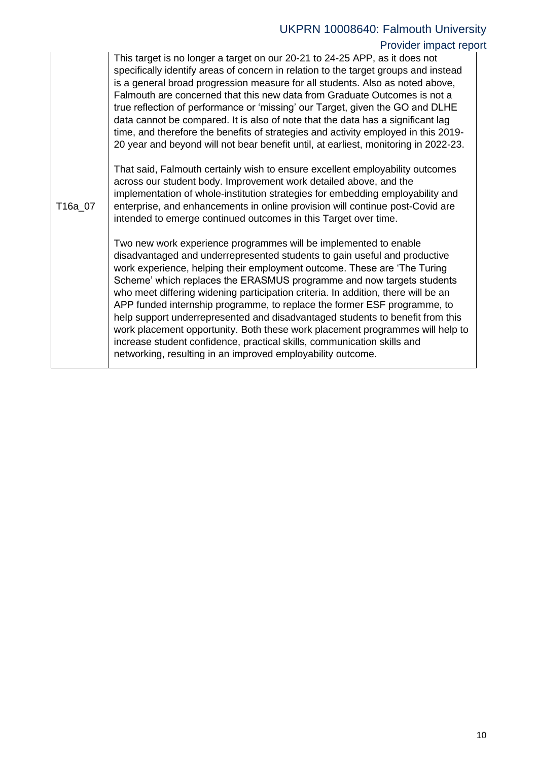# Provider impact report

|         | This target is no longer a target on our 20-21 to 24-25 APP, as it does not<br>specifically identify areas of concern in relation to the target groups and instead<br>is a general broad progression measure for all students. Also as noted above,<br>Falmouth are concerned that this new data from Graduate Outcomes is not a<br>true reflection of performance or 'missing' our Target, given the GO and DLHE<br>data cannot be compared. It is also of note that the data has a significant lag<br>time, and therefore the benefits of strategies and activity employed in this 2019-<br>20 year and beyond will not bear benefit until, at earliest, monitoring in 2022-23.                                                                                               |
|---------|---------------------------------------------------------------------------------------------------------------------------------------------------------------------------------------------------------------------------------------------------------------------------------------------------------------------------------------------------------------------------------------------------------------------------------------------------------------------------------------------------------------------------------------------------------------------------------------------------------------------------------------------------------------------------------------------------------------------------------------------------------------------------------|
| T16a_07 | That said, Falmouth certainly wish to ensure excellent employability outcomes<br>across our student body. Improvement work detailed above, and the<br>implementation of whole-institution strategies for embedding employability and<br>enterprise, and enhancements in online provision will continue post-Covid are<br>intended to emerge continued outcomes in this Target over time.                                                                                                                                                                                                                                                                                                                                                                                        |
|         | Two new work experience programmes will be implemented to enable<br>disadvantaged and underrepresented students to gain useful and productive<br>work experience, helping their employment outcome. These are 'The Turing<br>Scheme' which replaces the ERASMUS programme and now targets students<br>who meet differing widening participation criteria. In addition, there will be an<br>APP funded internship programme, to replace the former ESF programme, to<br>help support underrepresented and disadvantaged students to benefit from this<br>work placement opportunity. Both these work placement programmes will help to<br>increase student confidence, practical skills, communication skills and<br>networking, resulting in an improved employability outcome. |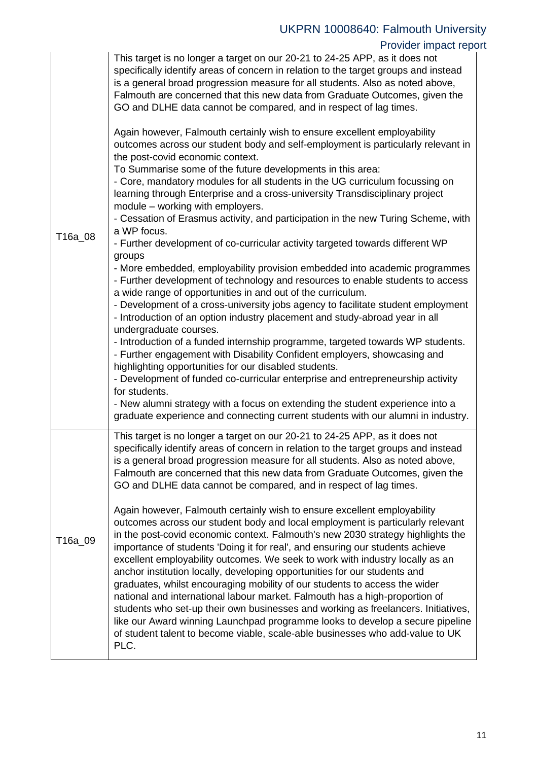# Provider impact report

| T16a_08 | This target is no longer a target on our 20-21 to 24-25 APP, as it does not<br>specifically identify areas of concern in relation to the target groups and instead<br>is a general broad progression measure for all students. Also as noted above,<br>Falmouth are concerned that this new data from Graduate Outcomes, given the<br>GO and DLHE data cannot be compared, and in respect of lag times.<br>Again however, Falmouth certainly wish to ensure excellent employability<br>outcomes across our student body and self-employment is particularly relevant in<br>the post-covid economic context.<br>To Summarise some of the future developments in this area:<br>- Core, mandatory modules for all students in the UG curriculum focussing on<br>learning through Enterprise and a cross-university Transdisciplinary project<br>module – working with employers.<br>- Cessation of Erasmus activity, and participation in the new Turing Scheme, with<br>a WP focus.<br>- Further development of co-curricular activity targeted towards different WP<br>groups<br>- More embedded, employability provision embedded into academic programmes<br>- Further development of technology and resources to enable students to access<br>a wide range of opportunities in and out of the curriculum.<br>- Development of a cross-university jobs agency to facilitate student employment<br>- Introduction of an option industry placement and study-abroad year in all<br>undergraduate courses.<br>- Introduction of a funded internship programme, targeted towards WP students.<br>- Further engagement with Disability Confident employers, showcasing and<br>highlighting opportunities for our disabled students.<br>- Development of funded co-curricular enterprise and entrepreneurship activity<br>for students.<br>- New alumni strategy with a focus on extending the student experience into a<br>graduate experience and connecting current students with our alumni in industry. |
|---------|---------------------------------------------------------------------------------------------------------------------------------------------------------------------------------------------------------------------------------------------------------------------------------------------------------------------------------------------------------------------------------------------------------------------------------------------------------------------------------------------------------------------------------------------------------------------------------------------------------------------------------------------------------------------------------------------------------------------------------------------------------------------------------------------------------------------------------------------------------------------------------------------------------------------------------------------------------------------------------------------------------------------------------------------------------------------------------------------------------------------------------------------------------------------------------------------------------------------------------------------------------------------------------------------------------------------------------------------------------------------------------------------------------------------------------------------------------------------------------------------------------------------------------------------------------------------------------------------------------------------------------------------------------------------------------------------------------------------------------------------------------------------------------------------------------------------------------------------------------------------------------------------------------------------------------------------------------------------------------------------------------|
| T16a_09 | This target is no longer a target on our 20-21 to 24-25 APP, as it does not<br>specifically identify areas of concern in relation to the target groups and instead<br>is a general broad progression measure for all students. Also as noted above,<br>Falmouth are concerned that this new data from Graduate Outcomes, given the<br>GO and DLHE data cannot be compared, and in respect of lag times.<br>Again however, Falmouth certainly wish to ensure excellent employability<br>outcomes across our student body and local employment is particularly relevant<br>in the post-covid economic context. Falmouth's new 2030 strategy highlights the<br>importance of students 'Doing it for real', and ensuring our students achieve<br>excellent employability outcomes. We seek to work with industry locally as an<br>anchor institution locally, developing opportunities for our students and<br>graduates, whilst encouraging mobility of our students to access the wider<br>national and international labour market. Falmouth has a high-proportion of<br>students who set-up their own businesses and working as freelancers. Initiatives,<br>like our Award winning Launchpad programme looks to develop a secure pipeline<br>of student talent to become viable, scale-able businesses who add-value to UK<br>PLC.                                                                                                                                                                                                                                                                                                                                                                                                                                                                                                                                                                                                                                                                     |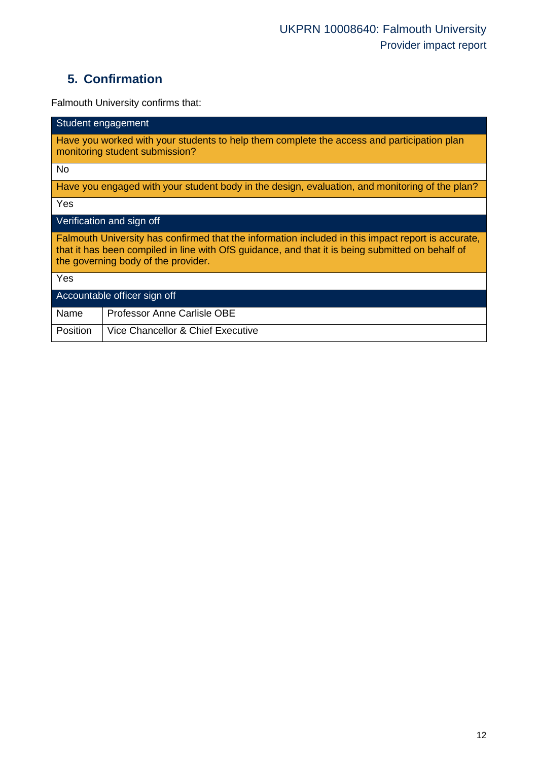# **5. Confirmation**

Falmouth University confirms that:

| Student engagement                                                                                                                                                                                                                            |  |  |  |
|-----------------------------------------------------------------------------------------------------------------------------------------------------------------------------------------------------------------------------------------------|--|--|--|
| Have you worked with your students to help them complete the access and participation plan<br>monitoring student submission?                                                                                                                  |  |  |  |
| <b>No</b>                                                                                                                                                                                                                                     |  |  |  |
| Have you engaged with your student body in the design, evaluation, and monitoring of the plan?                                                                                                                                                |  |  |  |
| Yes                                                                                                                                                                                                                                           |  |  |  |
| Verification and sign off                                                                                                                                                                                                                     |  |  |  |
| Falmouth University has confirmed that the information included in this impact report is accurate,<br>that it has been compiled in line with OfS guidance, and that it is being submitted on behalf of<br>the governing body of the provider. |  |  |  |
| Yes                                                                                                                                                                                                                                           |  |  |  |
| Accountable officer sign off                                                                                                                                                                                                                  |  |  |  |
| <b>Professor Anne Carlisle OBE</b><br>Name                                                                                                                                                                                                    |  |  |  |
| Vice Chancellor & Chief Executive<br>Position                                                                                                                                                                                                 |  |  |  |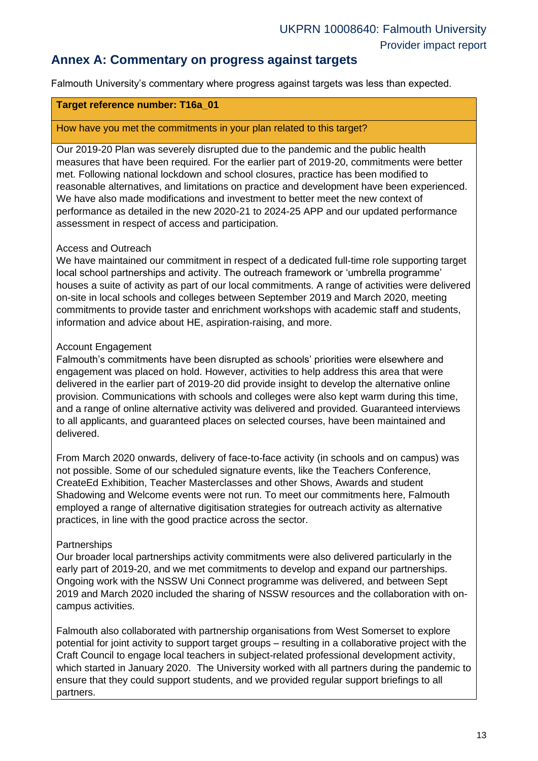### **Annex A: Commentary on progress against targets**

Falmouth University's commentary where progress against targets was less than expected.

#### **Target reference number: T16a\_01**

#### How have you met the commitments in your plan related to this target?

Our 2019-20 Plan was severely disrupted due to the pandemic and the public health measures that have been required. For the earlier part of 2019-20, commitments were better met. Following national lockdown and school closures, practice has been modified to reasonable alternatives, and limitations on practice and development have been experienced. We have also made modifications and investment to better meet the new context of performance as detailed in the new 2020-21 to 2024-25 APP and our updated performance assessment in respect of access and participation.

#### Access and Outreach

We have maintained our commitment in respect of a dedicated full-time role supporting target local school partnerships and activity. The outreach framework or 'umbrella programme' houses a suite of activity as part of our local commitments. A range of activities were delivered on-site in local schools and colleges between September 2019 and March 2020, meeting commitments to provide taster and enrichment workshops with academic staff and students, information and advice about HE, aspiration-raising, and more.

#### Account Engagement

Falmouth's commitments have been disrupted as schools' priorities were elsewhere and engagement was placed on hold. However, activities to help address this area that were delivered in the earlier part of 2019-20 did provide insight to develop the alternative online provision. Communications with schools and colleges were also kept warm during this time, and a range of online alternative activity was delivered and provided. Guaranteed interviews to all applicants, and guaranteed places on selected courses, have been maintained and delivered.

From March 2020 onwards, delivery of face-to-face activity (in schools and on campus) was not possible. Some of our scheduled signature events, like the Teachers Conference, CreateEd Exhibition, Teacher Masterclasses and other Shows, Awards and student Shadowing and Welcome events were not run. To meet our commitments here, Falmouth employed a range of alternative digitisation strategies for outreach activity as alternative practices, in line with the good practice across the sector.

#### **Partnerships**

Our broader local partnerships activity commitments were also delivered particularly in the early part of 2019-20, and we met commitments to develop and expand our partnerships. Ongoing work with the NSSW Uni Connect programme was delivered, and between Sept 2019 and March 2020 included the sharing of NSSW resources and the collaboration with oncampus activities.

Falmouth also collaborated with partnership organisations from West Somerset to explore potential for joint activity to support target groups – resulting in a collaborative project with the Craft Council to engage local teachers in subject-related professional development activity, which started in January 2020. The University worked with all partners during the pandemic to ensure that they could support students, and we provided regular support briefings to all partners.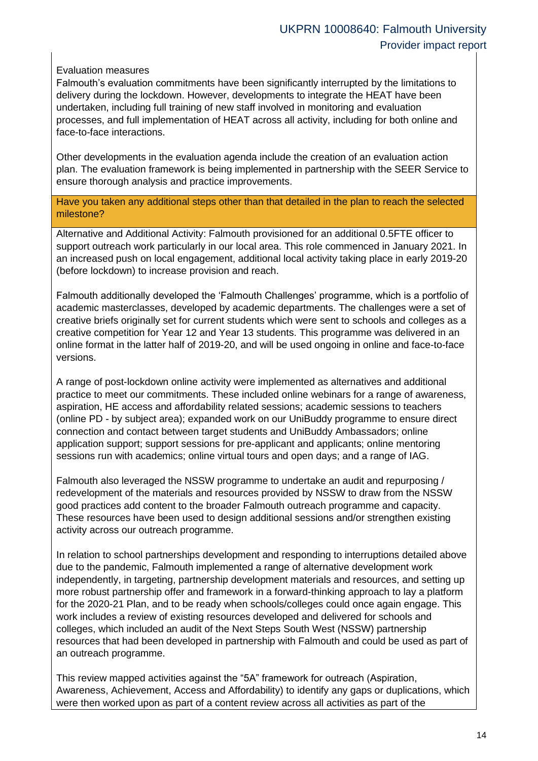Evaluation measures

Falmouth's evaluation commitments have been significantly interrupted by the limitations to delivery during the lockdown. However, developments to integrate the HEAT have been undertaken, including full training of new staff involved in monitoring and evaluation processes, and full implementation of HEAT across all activity, including for both online and face-to-face interactions.

Other developments in the evaluation agenda include the creation of an evaluation action plan. The evaluation framework is being implemented in partnership with the SEER Service to ensure thorough analysis and practice improvements.

Have you taken any additional steps other than that detailed in the plan to reach the selected milestone?

Alternative and Additional Activity: Falmouth provisioned for an additional 0.5FTE officer to support outreach work particularly in our local area. This role commenced in January 2021. In an increased push on local engagement, additional local activity taking place in early 2019-20 (before lockdown) to increase provision and reach.

Falmouth additionally developed the 'Falmouth Challenges' programme, which is a portfolio of academic masterclasses, developed by academic departments. The challenges were a set of creative briefs originally set for current students which were sent to schools and colleges as a creative competition for Year 12 and Year 13 students. This programme was delivered in an online format in the latter half of 2019-20, and will be used ongoing in online and face-to-face versions.

A range of post-lockdown online activity were implemented as alternatives and additional practice to meet our commitments. These included online webinars for a range of awareness, aspiration, HE access and affordability related sessions; academic sessions to teachers (online PD - by subject area); expanded work on our UniBuddy programme to ensure direct connection and contact between target students and UniBuddy Ambassadors; online application support; support sessions for pre-applicant and applicants; online mentoring sessions run with academics; online virtual tours and open days; and a range of IAG.

Falmouth also leveraged the NSSW programme to undertake an audit and repurposing / redevelopment of the materials and resources provided by NSSW to draw from the NSSW good practices add content to the broader Falmouth outreach programme and capacity. These resources have been used to design additional sessions and/or strengthen existing activity across our outreach programme.

In relation to school partnerships development and responding to interruptions detailed above due to the pandemic, Falmouth implemented a range of alternative development work independently, in targeting, partnership development materials and resources, and setting up more robust partnership offer and framework in a forward-thinking approach to lay a platform for the 2020-21 Plan, and to be ready when schools/colleges could once again engage. This work includes a review of existing resources developed and delivered for schools and colleges, which included an audit of the Next Steps South West (NSSW) partnership resources that had been developed in partnership with Falmouth and could be used as part of an outreach programme.

This review mapped activities against the "5A" framework for outreach (Aspiration, Awareness, Achievement, Access and Affordability) to identify any gaps or duplications, which were then worked upon as part of a content review across all activities as part of the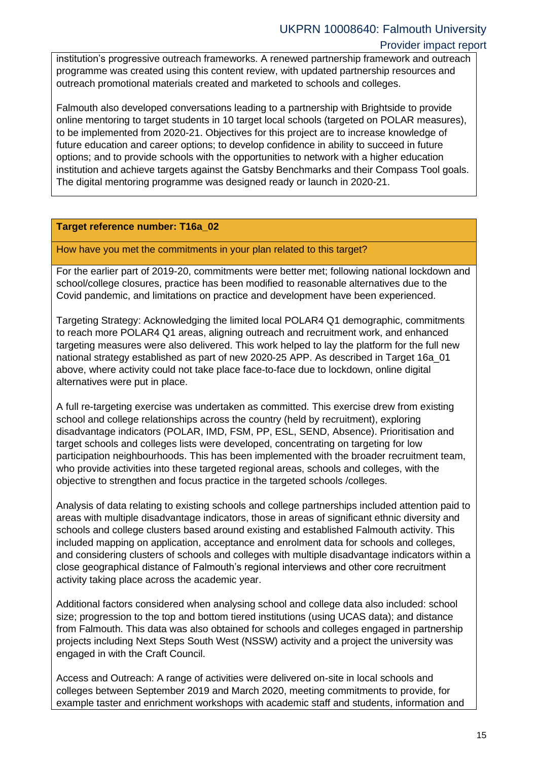#### institution's progressive outreach frameworks. A renewed partnership framework and outreach programme was created using this content review, with updated partnership resources and outreach promotional materials created and marketed to schools and colleges.

Falmouth also developed conversations leading to a partnership with Brightside to provide online mentoring to target students in 10 target local schools (targeted on POLAR measures), to be implemented from 2020-21. Objectives for this project are to increase knowledge of future education and career options; to develop confidence in ability to succeed in future options; and to provide schools with the opportunities to network with a higher education institution and achieve targets against the Gatsby Benchmarks and their Compass Tool goals. The digital mentoring programme was designed ready or launch in 2020-21.

#### **Target reference number: T16a\_02**

How have you met the commitments in your plan related to this target?

For the earlier part of 2019-20, commitments were better met; following national lockdown and school/college closures, practice has been modified to reasonable alternatives due to the Covid pandemic, and limitations on practice and development have been experienced.

Targeting Strategy: Acknowledging the limited local POLAR4 Q1 demographic, commitments to reach more POLAR4 Q1 areas, aligning outreach and recruitment work, and enhanced targeting measures were also delivered. This work helped to lay the platform for the full new national strategy established as part of new 2020-25 APP. As described in Target 16a\_01 above, where activity could not take place face-to-face due to lockdown, online digital alternatives were put in place.

A full re-targeting exercise was undertaken as committed. This exercise drew from existing school and college relationships across the country (held by recruitment), exploring disadvantage indicators (POLAR, IMD, FSM, PP, ESL, SEND, Absence). Prioritisation and target schools and colleges lists were developed, concentrating on targeting for low participation neighbourhoods. This has been implemented with the broader recruitment team, who provide activities into these targeted regional areas, schools and colleges, with the objective to strengthen and focus practice in the targeted schools /colleges.

Analysis of data relating to existing schools and college partnerships included attention paid to areas with multiple disadvantage indicators, those in areas of significant ethnic diversity and schools and college clusters based around existing and established Falmouth activity. This included mapping on application, acceptance and enrolment data for schools and colleges, and considering clusters of schools and colleges with multiple disadvantage indicators within a close geographical distance of Falmouth's regional interviews and other core recruitment activity taking place across the academic year.

Additional factors considered when analysing school and college data also included: school size; progression to the top and bottom tiered institutions (using UCAS data); and distance from Falmouth. This data was also obtained for schools and colleges engaged in partnership projects including Next Steps South West (NSSW) activity and a project the university was engaged in with the Craft Council.

Access and Outreach: A range of activities were delivered on-site in local schools and colleges between September 2019 and March 2020, meeting commitments to provide, for example taster and enrichment workshops with academic staff and students, information and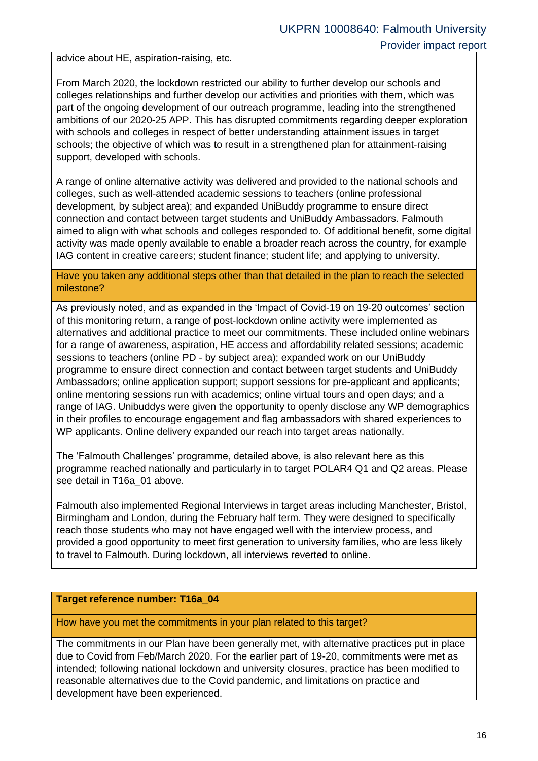advice about HE, aspiration-raising, etc.

From March 2020, the lockdown restricted our ability to further develop our schools and colleges relationships and further develop our activities and priorities with them, which was part of the ongoing development of our outreach programme, leading into the strengthened ambitions of our 2020-25 APP. This has disrupted commitments regarding deeper exploration with schools and colleges in respect of better understanding attainment issues in target schools; the objective of which was to result in a strengthened plan for attainment-raising support, developed with schools.

A range of online alternative activity was delivered and provided to the national schools and colleges, such as well-attended academic sessions to teachers (online professional development, by subject area); and expanded UniBuddy programme to ensure direct connection and contact between target students and UniBuddy Ambassadors. Falmouth aimed to align with what schools and colleges responded to. Of additional benefit, some digital activity was made openly available to enable a broader reach across the country, for example IAG content in creative careers; student finance; student life; and applying to university.

Have you taken any additional steps other than that detailed in the plan to reach the selected milestone?

As previously noted, and as expanded in the 'Impact of Covid-19 on 19-20 outcomes' section of this monitoring return, a range of post-lockdown online activity were implemented as alternatives and additional practice to meet our commitments. These included online webinars for a range of awareness, aspiration, HE access and affordability related sessions; academic sessions to teachers (online PD - by subject area); expanded work on our UniBuddy programme to ensure direct connection and contact between target students and UniBuddy Ambassadors; online application support; support sessions for pre-applicant and applicants; online mentoring sessions run with academics; online virtual tours and open days; and a range of IAG. Unibuddys were given the opportunity to openly disclose any WP demographics in their profiles to encourage engagement and flag ambassadors with shared experiences to WP applicants. Online delivery expanded our reach into target areas nationally.

The 'Falmouth Challenges' programme, detailed above, is also relevant here as this programme reached nationally and particularly in to target POLAR4 Q1 and Q2 areas. Please see detail in T16a\_01 above.

Falmouth also implemented Regional Interviews in target areas including Manchester, Bristol, Birmingham and London, during the February half term. They were designed to specifically reach those students who may not have engaged well with the interview process, and provided a good opportunity to meet first generation to university families, who are less likely to travel to Falmouth. During lockdown, all interviews reverted to online.

#### **Target reference number: T16a\_04**

How have you met the commitments in your plan related to this target?

The commitments in our Plan have been generally met, with alternative practices put in place due to Covid from Feb/March 2020. For the earlier part of 19-20, commitments were met as intended; following national lockdown and university closures, practice has been modified to reasonable alternatives due to the Covid pandemic, and limitations on practice and development have been experienced.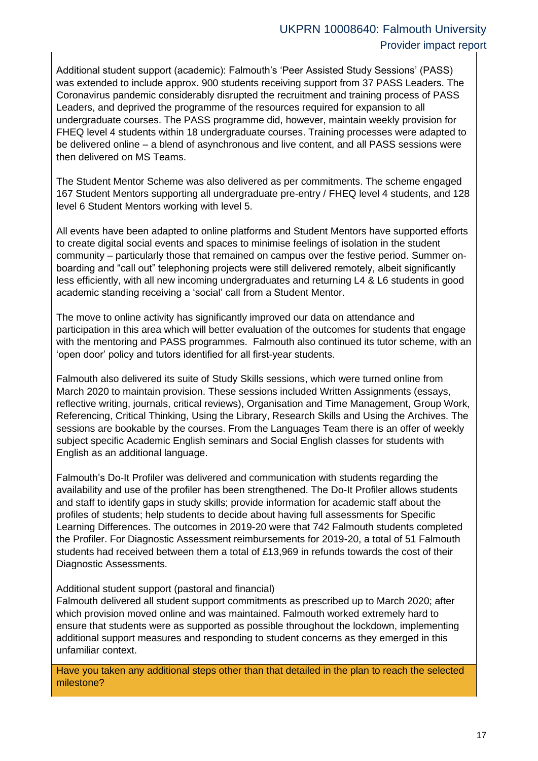Additional student support (academic): Falmouth's 'Peer Assisted Study Sessions' (PASS) was extended to include approx. 900 students receiving support from 37 PASS Leaders. The Coronavirus pandemic considerably disrupted the recruitment and training process of PASS Leaders, and deprived the programme of the resources required for expansion to all undergraduate courses. The PASS programme did, however, maintain weekly provision for FHEQ level 4 students within 18 undergraduate courses. Training processes were adapted to be delivered online – a blend of asynchronous and live content, and all PASS sessions were then delivered on MS Teams.

The Student Mentor Scheme was also delivered as per commitments. The scheme engaged 167 Student Mentors supporting all undergraduate pre-entry / FHEQ level 4 students, and 128 level 6 Student Mentors working with level 5.

All events have been adapted to online platforms and Student Mentors have supported efforts to create digital social events and spaces to minimise feelings of isolation in the student community – particularly those that remained on campus over the festive period. Summer onboarding and "call out" telephoning projects were still delivered remotely, albeit significantly less efficiently, with all new incoming undergraduates and returning L4 & L6 students in good academic standing receiving a 'social' call from a Student Mentor.

The move to online activity has significantly improved our data on attendance and participation in this area which will better evaluation of the outcomes for students that engage with the mentoring and PASS programmes. Falmouth also continued its tutor scheme, with an 'open door' policy and tutors identified for all first-year students.

Falmouth also delivered its suite of Study Skills sessions, which were turned online from March 2020 to maintain provision. These sessions included Written Assignments (essays, reflective writing, journals, critical reviews), Organisation and Time Management, Group Work, Referencing, Critical Thinking, Using the Library, Research Skills and Using the Archives. The sessions are bookable by the courses. From the Languages Team there is an offer of weekly subject specific Academic English seminars and Social English classes for students with English as an additional language.

Falmouth's Do-It Profiler was delivered and communication with students regarding the availability and use of the profiler has been strengthened. The Do-It Profiler allows students and staff to identify gaps in study skills; provide information for academic staff about the profiles of students; help students to decide about having full assessments for Specific Learning Differences. The outcomes in 2019-20 were that 742 Falmouth students completed the Profiler. For Diagnostic Assessment reimbursements for 2019-20, a total of 51 Falmouth students had received between them a total of £13,969 in refunds towards the cost of their Diagnostic Assessments.

#### Additional student support (pastoral and financial)

Falmouth delivered all student support commitments as prescribed up to March 2020; after which provision moved online and was maintained. Falmouth worked extremely hard to ensure that students were as supported as possible throughout the lockdown, implementing additional support measures and responding to student concerns as they emerged in this unfamiliar context.

Have you taken any additional steps other than that detailed in the plan to reach the selected milestone?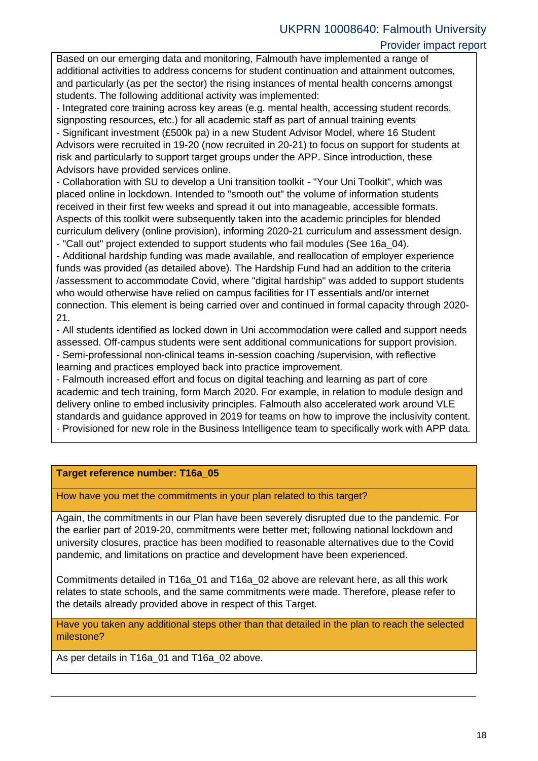### Provider impact report

Based on our emerging data and monitoring, Falmouth have implemented a range of additional activities to address concerns for student continuation and attainment outcomes, and particularly (as per the sector) the rising instances of mental health concerns amongst students. The following additional activity was implemented:

- Integrated core training across key areas (e.g. mental health, accessing student records, signposting resources, etc.) for all academic staff as part of annual training events

- Significant investment (£500k pa) in a new Student Advisor Model, where 16 Student Advisors were recruited in 19-20 (now recruited in 20-21) to focus on support for students at risk and particularly to support target groups under the APP. Since introduction, these Advisors have provided services online.

- Collaboration with SU to develop a Uni transition toolkit - "Your Uni Toolkit", which was placed online in lockdown. Intended to "smooth out" the volume of information students received in their first few weeks and spread it out into manageable, accessible formats. Aspects of this toolkit were subsequently taken into the academic principles for blended curriculum delivery (online provision), informing 2020-21 curriculum and assessment design. - "Call out" project extended to support students who fail modules (See 16a\_04).

- Additional hardship funding was made available, and reallocation of employer experience funds was provided (as detailed above). The Hardship Fund had an addition to the criteria /assessment to accommodate Covid, where "digital hardship" was added to support students who would otherwise have relied on campus facilities for IT essentials and/or internet connection. This element is being carried over and continued in formal capacity through 2020- 21.

- All students identified as locked down in Uni accommodation were called and support needs assessed. Off-campus students were sent additional communications for support provision. - Semi-professional non-clinical teams in-session coaching /supervision, with reflective

learning and practices employed back into practice improvement.

- Falmouth increased effort and focus on digital teaching and learning as part of core academic and tech training, form March 2020. For example, in relation to module design and delivery online to embed inclusivity principles. Falmouth also accelerated work around VLE standards and guidance approved in 2019 for teams on how to improve the inclusivity content. - Provisioned for new role in the Business Intelligence team to specifically work with APP data.

### **Target reference number: T16a\_05**

How have you met the commitments in your plan related to this target?

Again, the commitments in our Plan have been severely disrupted due to the pandemic. For the earlier part of 2019-20, commitments were better met; following national lockdown and university closures, practice has been modified to reasonable alternatives due to the Covid pandemic, and limitations on practice and development have been experienced.

Commitments detailed in T16a\_01 and T16a\_02 above are relevant here, as all this work relates to state schools, and the same commitments were made. Therefore, please refer to the details already provided above in respect of this Target.

Have you taken any additional steps other than that detailed in the plan to reach the selected milestone?

As per details in T16a\_01 and T16a\_02 above.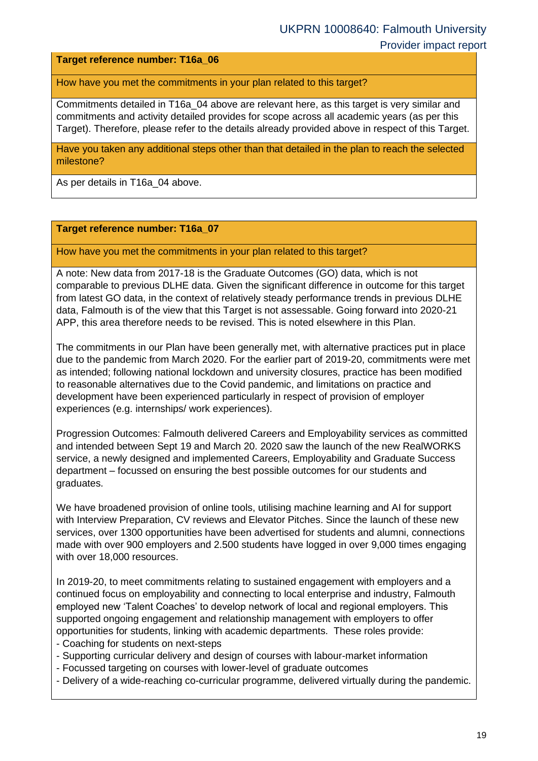**Target reference number: T16a\_06**

How have you met the commitments in your plan related to this target?

Commitments detailed in T16a\_04 above are relevant here, as this target is very similar and commitments and activity detailed provides for scope across all academic years (as per this Target). Therefore, please refer to the details already provided above in respect of this Target.

Have you taken any additional steps other than that detailed in the plan to reach the selected milestone?

As per details in T16a\_04 above.

#### **Target reference number: T16a\_07**

How have you met the commitments in your plan related to this target?

A note: New data from 2017-18 is the Graduate Outcomes (GO) data, which is not comparable to previous DLHE data. Given the significant difference in outcome for this target from latest GO data, in the context of relatively steady performance trends in previous DLHE data, Falmouth is of the view that this Target is not assessable. Going forward into 2020-21 APP, this area therefore needs to be revised. This is noted elsewhere in this Plan.

The commitments in our Plan have been generally met, with alternative practices put in place due to the pandemic from March 2020. For the earlier part of 2019-20, commitments were met as intended; following national lockdown and university closures, practice has been modified to reasonable alternatives due to the Covid pandemic, and limitations on practice and development have been experienced particularly in respect of provision of employer experiences (e.g. internships/ work experiences).

Progression Outcomes: Falmouth delivered Careers and Employability services as committed and intended between Sept 19 and March 20. 2020 saw the launch of the new RealWORKS service, a newly designed and implemented Careers, Employability and Graduate Success department – focussed on ensuring the best possible outcomes for our students and graduates.

We have broadened provision of online tools, utilising machine learning and AI for support with Interview Preparation, CV reviews and Elevator Pitches. Since the launch of these new services, over 1300 opportunities have been advertised for students and alumni, connections made with over 900 employers and 2.500 students have logged in over 9,000 times engaging with over 18,000 resources.

In 2019-20, to meet commitments relating to sustained engagement with employers and a continued focus on employability and connecting to local enterprise and industry, Falmouth employed new 'Talent Coaches' to develop network of local and regional employers. This supported ongoing engagement and relationship management with employers to offer opportunities for students, linking with academic departments. These roles provide:

- Coaching for students on next-steps
- Supporting curricular delivery and design of courses with labour-market information
- Focussed targeting on courses with lower-level of graduate outcomes
- Delivery of a wide-reaching co-curricular programme, delivered virtually during the pandemic.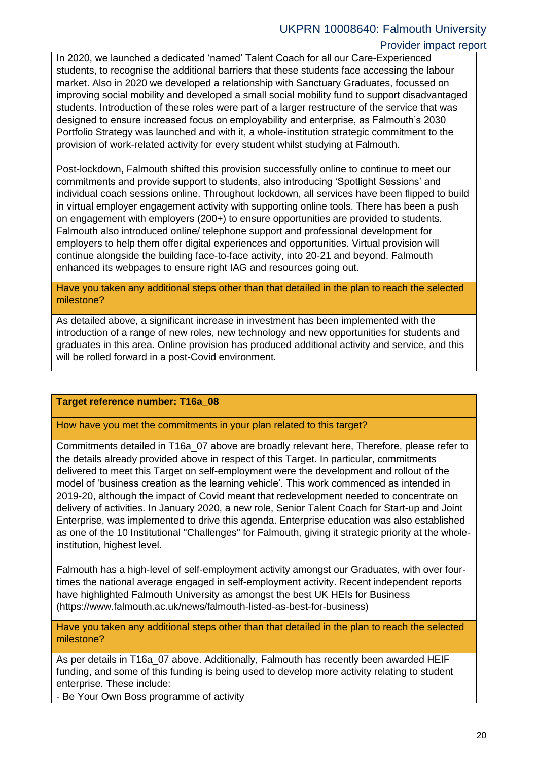### Provider impact report

In 2020, we launched a dedicated 'named' Talent Coach for all our Care-Experienced students, to recognise the additional barriers that these students face accessing the labour market. Also in 2020 we developed a relationship with Sanctuary Graduates, focussed on improving social mobility and developed a small social mobility fund to support disadvantaged students. Introduction of these roles were part of a larger restructure of the service that was designed to ensure increased focus on employability and enterprise, as Falmouth's 2030 Portfolio Strategy was launched and with it, a whole-institution strategic commitment to the provision of work-related activity for every student whilst studying at Falmouth.

Post-lockdown, Falmouth shifted this provision successfully online to continue to meet our commitments and provide support to students, also introducing 'Spotlight Sessions' and individual coach sessions online. Throughout lockdown, all services have been flipped to build in virtual employer engagement activity with supporting online tools. There has been a push on engagement with employers (200+) to ensure opportunities are provided to students. Falmouth also introduced online/ telephone support and professional development for employers to help them offer digital experiences and opportunities. Virtual provision will continue alongside the building face-to-face activity, into 20-21 and beyond. Falmouth enhanced its webpages to ensure right IAG and resources going out.

Have you taken any additional steps other than that detailed in the plan to reach the selected milestone?

As detailed above, a significant increase in investment has been implemented with the introduction of a range of new roles, new technology and new opportunities for students and graduates in this area. Online provision has produced additional activity and service, and this will be rolled forward in a post-Covid environment.

#### **Target reference number: T16a\_08**

How have you met the commitments in your plan related to this target?

Commitments detailed in T16a\_07 above are broadly relevant here, Therefore, please refer to the details already provided above in respect of this Target. In particular, commitments delivered to meet this Target on self-employment were the development and rollout of the model of 'business creation as the learning vehicle'. This work commenced as intended in 2019-20, although the impact of Covid meant that redevelopment needed to concentrate on delivery of activities. In January 2020, a new role, Senior Talent Coach for Start-up and Joint Enterprise, was implemented to drive this agenda. Enterprise education was also established as one of the 10 Institutional "Challenges" for Falmouth, giving it strategic priority at the wholeinstitution, highest level.

Falmouth has a high-level of self-employment activity amongst our Graduates, with over fourtimes the national average engaged in self-employment activity. Recent independent reports have highlighted Falmouth University as amongst the best UK HEIs for Business (https://www.falmouth.ac.uk/news/falmouth-listed-as-best-for-business)

Have you taken any additional steps other than that detailed in the plan to reach the selected milestone?

As per details in T16a 07 above. Additionally, Falmouth has recently been awarded HEIF funding, and some of this funding is being used to develop more activity relating to student enterprise. These include:

- Be Your Own Boss programme of activity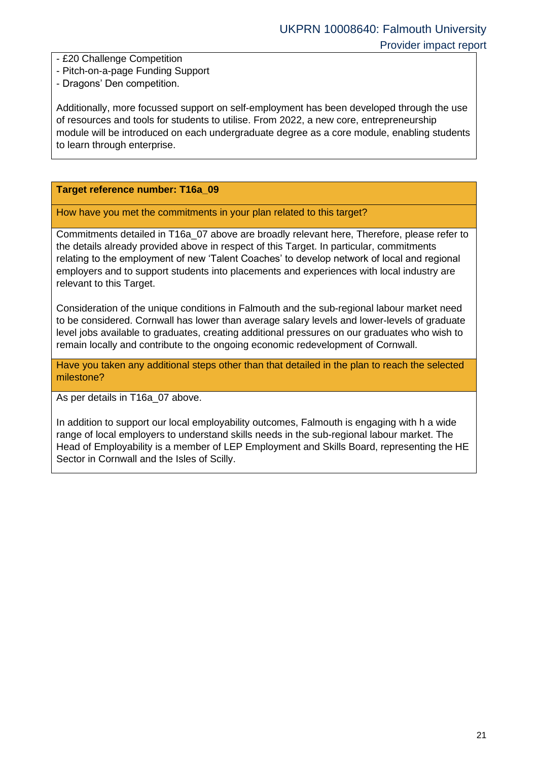- £20 Challenge Competition
- Pitch-on-a-page Funding Support
- Dragons' Den competition.

Additionally, more focussed support on self-employment has been developed through the use of resources and tools for students to utilise. From 2022, a new core, entrepreneurship module will be introduced on each undergraduate degree as a core module, enabling students to learn through enterprise.

#### **Target reference number: T16a\_09**

How have you met the commitments in your plan related to this target?

Commitments detailed in T16a\_07 above are broadly relevant here, Therefore, please refer to the details already provided above in respect of this Target. In particular, commitments relating to the employment of new 'Talent Coaches' to develop network of local and regional employers and to support students into placements and experiences with local industry are relevant to this Target.

Consideration of the unique conditions in Falmouth and the sub-regional labour market need to be considered. Cornwall has lower than average salary levels and lower-levels of graduate level jobs available to graduates, creating additional pressures on our graduates who wish to remain locally and contribute to the ongoing economic redevelopment of Cornwall.

Have you taken any additional steps other than that detailed in the plan to reach the selected milestone?

As per details in T16a\_07 above.

In addition to support our local employability outcomes, Falmouth is engaging with h a wide range of local employers to understand skills needs in the sub-regional labour market. The Head of Employability is a member of LEP Employment and Skills Board, representing the HE Sector in Cornwall and the Isles of Scilly.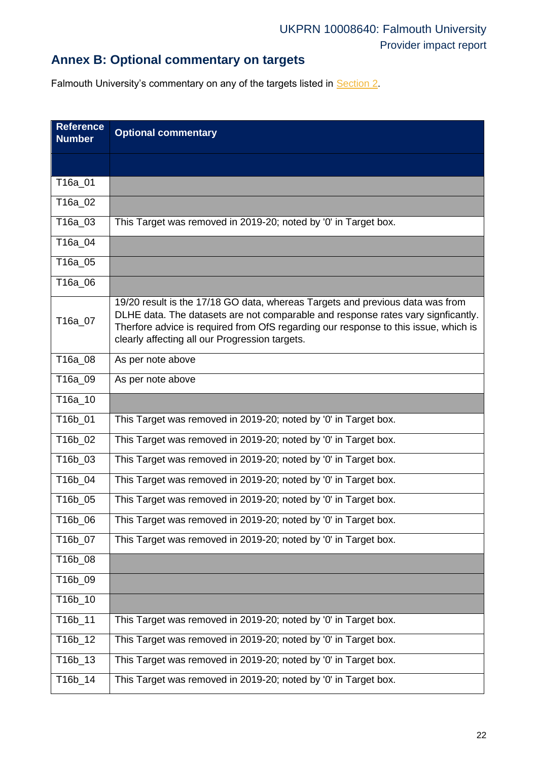# **Annex B: Optional commentary on targets**

Falmouth University's commentary on any of the targets listed in **Section 2**.

<span id="page-21-0"></span>

| <b>Reference</b><br><b>Number</b> | <b>Optional commentary</b>                                                                                                                                                                                                                                                                                 |
|-----------------------------------|------------------------------------------------------------------------------------------------------------------------------------------------------------------------------------------------------------------------------------------------------------------------------------------------------------|
|                                   |                                                                                                                                                                                                                                                                                                            |
| T16a_01                           |                                                                                                                                                                                                                                                                                                            |
| T16a_02                           |                                                                                                                                                                                                                                                                                                            |
| T16a_03                           | This Target was removed in 2019-20; noted by '0' in Target box.                                                                                                                                                                                                                                            |
| T16a_04                           |                                                                                                                                                                                                                                                                                                            |
| T16a_05                           |                                                                                                                                                                                                                                                                                                            |
| T16a_06                           |                                                                                                                                                                                                                                                                                                            |
| T16a_07                           | 19/20 result is the 17/18 GO data, whereas Targets and previous data was from<br>DLHE data. The datasets are not comparable and response rates vary signficantly.<br>Therfore advice is required from OfS regarding our response to this issue, which is<br>clearly affecting all our Progression targets. |
| T16a_08                           | As per note above                                                                                                                                                                                                                                                                                          |
| T16a_09                           | As per note above                                                                                                                                                                                                                                                                                          |
| T16a_10                           |                                                                                                                                                                                                                                                                                                            |
| T16b_01                           | This Target was removed in 2019-20; noted by '0' in Target box.                                                                                                                                                                                                                                            |
| T16b_02                           | This Target was removed in 2019-20; noted by '0' in Target box.                                                                                                                                                                                                                                            |
| T16b_03                           | This Target was removed in 2019-20; noted by '0' in Target box.                                                                                                                                                                                                                                            |
| T16b_04                           | This Target was removed in 2019-20; noted by '0' in Target box.                                                                                                                                                                                                                                            |
| T16b_05                           | This Target was removed in 2019-20; noted by '0' in Target box.                                                                                                                                                                                                                                            |
| T16b_06                           | This Target was removed in 2019-20; noted by '0' in Target box.                                                                                                                                                                                                                                            |
| T16b_07                           | This Target was removed in 2019-20; noted by '0' in Target box.                                                                                                                                                                                                                                            |
| T16b_08                           |                                                                                                                                                                                                                                                                                                            |
| T16b_09                           |                                                                                                                                                                                                                                                                                                            |
| T16b_10                           |                                                                                                                                                                                                                                                                                                            |
| T16b_11                           | This Target was removed in 2019-20; noted by '0' in Target box.                                                                                                                                                                                                                                            |
| T16b_12                           | This Target was removed in 2019-20; noted by '0' in Target box.                                                                                                                                                                                                                                            |
| T16b_13                           | This Target was removed in 2019-20; noted by '0' in Target box.                                                                                                                                                                                                                                            |
| T16b_14                           | This Target was removed in 2019-20; noted by '0' in Target box.                                                                                                                                                                                                                                            |